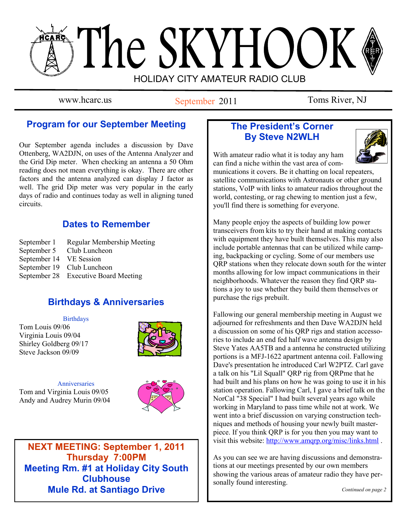# The SKYHOOK HOLIDAY CITY AMATEUR RADIO CLUB

www.hcarc.us September 2011 Toms River, NJ

# **Program for our September Meeting**

Our September agenda includes a discussion by Dave Ottenberg, WA2DJN, on uses of the Antenna Analyzer and the Grid Dip meter. When checking an antenna a 50 Ohm reading does not mean everything is okay. There are other factors and the antenna analyzed can display J factor as well. The grid Dip meter was very popular in the early days of radio and continues today as well in aligning tuned circuits.

# **Dates to Remember**

September 1 Regular Membership Meeting September 5 Club Luncheon September 14 VE Session September 19 Club Luncheon September 28 Executive Board Meeting

# **Birthdays & Anniversaries**

**Birthdays** 

Tom Louis 09/06 Virginia Louis 09/04 Shirley Goldberg 09/17 Steve Jackson 09/09



**Anniversaries** Tom and Virginia Louis 09/05 Andy and Audrey Murin 09/04



**NEXT MEETING: September 1, 2011 Thursday 7:00PM Meeting Rm. #1 at Holiday City South Clubhouse Mule Rd. at Santiago Drive**

# **The President's Corner By Steve N2WLH**



With amateur radio what it is today any ham can find a niche within the vast area of com-

munications it covers. Be it chatting on local repeaters, satellite communications with Astronauts or other ground stations, VoIP with links to amateur radios throughout the world, contesting, or rag chewing to mention just a few, you'll find there is something for everyone.

Many people enjoy the aspects of building low power transceivers from kits to try their hand at making contacts with equipment they have built themselves. This may also include portable antennas that can be utilized while camping, backpacking or cycling. Some of our members use QRP stations when they relocate down south for the winter months allowing for low impact communications in their neighborhoods. Whatever the reason they find QRP stations a joy to use whether they build them themselves or purchase the rigs prebuilt.

Fallowing our general membership meeting in August we adjourned for refreshments and then Dave WA2DJN held a discussion on some of his QRP rigs and station accessories to include an end fed half wave antenna design by Steve Yates AA5TB and a antenna he constructed utilizing portions is a MFJ-1622 apartment antenna coil. Fallowing Dave's presentation he introduced Carl W2PTZ. Carl gave a talk on his "Lil Squall" QRP rig from QRPme that he had built and his plans on how he was going to use it in his station operation. Fallowing Carl, I gave a brief talk on the NorCal "38 Special" I had built several years ago while working in Maryland to pass time while not at work. We went into a brief discussion on varying construction techniques and methods of housing your newly built masterpiece. If you think QRP is for you then you may want to visit this website: <http://www.amqrp.org/misc/links.html> .

As you can see we are having discussions and demonstrations at our meetings presented by our own members showing the various areas of amateur radio they have personally found interesting.

*Continued on page 2*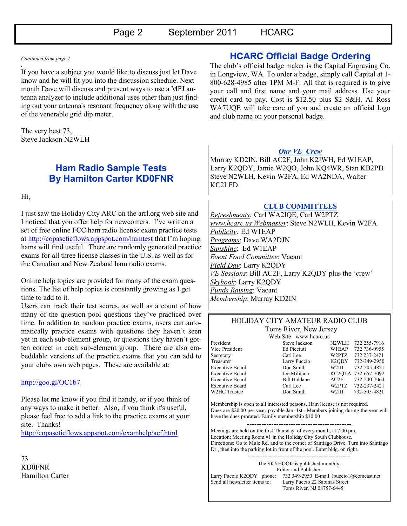#### *Continued from page 1 .*

If you have a subject you would like to discuss just let Dave know and he will fit you into the discussion schedule. Next month Dave will discuss and present ways to use a MFJ antenna analyzer to include additional uses other than just finding out your antenna's resonant frequency along with the use of the venerable grid dip meter.

The very best 73, Steve Jackson N2WLH

## **Ham Radio Sample Tests By Hamilton Carter KD0FNR**

Hi,

I just saw the Holiday City ARC on the [arrl.org](http://arrl.org/) web site and I noticed that you offer help for newcomers. I've written a set of free online FCC ham radio license exam practice tests at<http://copaseticflows.appspot.com/hamtest> that I'm hoping hams will find useful. There are randomly generated practice exams for all three license classes in the U.S. as well as for the Canadian and New Zealand ham radio exams.

Online help topics are provided for many of the exam questions. The list of help topics is constantly growing as I get time to add to it.

Users can track their test scores, as well as a count of how many of the question pool questions they've practiced over time. In addition to random practice exams, users can automatically practice exams with questions they haven't seen yet in each sub-element group, or questions they haven't gotten correct in each sub-element group. There are also embeddable versions of the practice exams that you can add to your clubs own web pages. These are available at:

#### <http://goo.gl/OC1b7>

Please let me know if you find it handy, or if you think of any ways to make it better. Also, if you think it's useful, please feel free to add a link to the practice exams at your site. Thanks!

<http://copaseticflows.appspot.com/examhelp/acf.html>

73 KD0FNR Hamilton Carter

### **HCARC Official Badge Ordering**

The club's official badge maker is the Capital Engraving Co. in Longview, WA. To order a badge, simply call Capital at 1- 800-628-4985 after 1PM M-F. All that is required is to give your call and first name and your mail address. Use your credit card to pay. Cost is \$12.50 plus \$2 S&H. Al Ross WA7UQE will take care of you and create an official logo and club name on your personal badge.

#### *Our VE Crew*

Murray KD2IN, Bill AC2F, John K2JWH, Ed W1EAP, Larry K2QDY, Jamie W2QO, John KQ4WR, Stan KB2PD Steve N2WLH, Kevin W2FA, Ed WA2NDA, Walter KC2LFD.

#### **CLUB COMMITTEES**

*Refreshments:* Carl WA2IQE, Carl W2PTZ *www.hcarc.us Webmaster*: Steve N2WLH, Kevin W2FA *Publicity:* Ed W1EAP *Programs*: Dave WA2DJN *Sunshine*: Ed W1EAP *Event Food Committee*: Vacant *Field Day*: Larry K2QDY *VE Sessions*: Bill AC2F, Larry K2QDY plus the 'crew' *Skyhook*: Larry K2QDY *Funds Raising*: Vacant *Membership*: Murray KD2IN

#### HOLIDAY CITY AMATEUR RADIO CLUB Toms River, New Jersey

Web Site www.hcarc.us

| resident        |  |
|-----------------|--|
| Vice President  |  |
| Secretary       |  |
| Treasurer       |  |
| Executive Board |  |
| Executive Board |  |
| Executive Board |  |
| Executive Board |  |
| V2HC Trustee    |  |

President Steve Jackson N2WLH 732 255-7916 Ed Picciuti W1EAP 732 736-0955 Carl Lee W2PTZ 732 237-2421 Larry Puccio K2QDY 732-349-2950 Don Smith W2III 732-505-4821 Joe Militano KC2QLA 732-657-7092 Bill Haldane  $AC2F$  732-240-7064 Carl Lee W2PTZ 732-237-2421<br>Don Smith W2III 732-505-4821 Don Smith W2III 732-505-4821

Membership is open to all interested persons. Ham license is not required. Dues are \$20.00 per year, payable Jan. 1st . Members joining during the year will have the dues prorated. Family membership \$10.00

------------------------------------------- Meetings are held on the first Thursday of every month, at 7:00 pm. Location: Meeting Room #1 in the Holiday City South Clubhouse. Directions: Go to Mule Rd. and to the corner of Santiago Drive. Turn into Santiago Dr., then into the parking lot in front of the pool. Enter bldg. on right.

------------------------------------------ The SKYHOOK is published monthly. Editor and Publisher: Larry Puccio K2QDY phone: 732 349-2950 E-mail lpuccio1@comcast.net<br>Send all newsletter items to: Larry Puccio 22 Sabinas Street Larry Puccio 22 Sabinas Street Toms River, NJ 08757-6445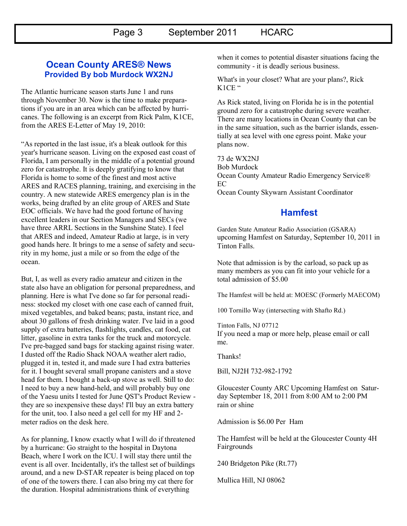Page 3 September 2011 HCARC

#### **Ocean County ARES® News Provided By bob Murdock WX2NJ**

The Atlantic hurricane season starts June 1 and runs through November 30. Now is the time to make preparations if you are in an area which can be affected by hurricanes. The following is an excerpt from Rick Palm, K1CE, from the ARES E-Letter of May 19, 2010:

"As reported in the last issue, it's a bleak outlook for this year's hurricane season. Living on the exposed east coast of Florida, I am personally in the middle of a potential ground zero for catastrophe. It is deeply gratifying to know that Florida is home to some of the finest and most active ARES and RACES planning, training, and exercising in the country. A new statewide ARES emergency plan is in the works, being drafted by an elite group of ARES and State EOC officials. We have had the good fortune of having excellent leaders in our Section Managers and SECs (we have three ARRL Sections in the Sunshine State). I feel that ARES and indeed, Amateur Radio at large, is in very good hands here. It brings to me a sense of safety and security in my home, just a mile or so from the edge of the ocean.

But, I, as well as every radio amateur and citizen in the state also have an obligation for personal preparedness, and planning. Here is what I've done so far for personal readiness: stocked my closet with one case each of canned fruit, mixed vegetables, and baked beans; pasta, instant rice, and about 30 gallons of fresh drinking water. I've laid in a good supply of extra batteries, flashlights, candles, cat food, cat litter, gasoline in extra tanks for the truck and motorcycle. I've pre-bagged sand bags for stacking against rising water. I dusted off the Radio Shack NOAA weather alert radio, plugged it in, tested it, and made sure I had extra batteries for it. I bought several small propane canisters and a stove head for them. I bought a back-up stove as well. Still to do: I need to buy a new hand-held, and will probably buy one of the Yaesu units I tested for June QST's Product Review they are so inexpensive these days! I'll buy an extra battery for the unit, too. I also need a gel cell for my HF and 2 meter radios on the desk here.

As for planning, I know exactly what I will do if threatened by a hurricane: Go straight to the hospital in Daytona Beach, where I work on the ICU. I will stay there until the event is all over. Incidentally, it's the tallest set of buildings around, and a new D-STAR repeater is being placed on top of one of the towers there. I can also bring my cat there for the duration. Hospital administrations think of everything

when it comes to potential disaster situations facing the community - it is deadly serious business.

What's in your closet? What are your plans?, Rick K<sub>1</sub>CE "

As Rick stated, living on Florida he is in the potential ground zero for a catastrophe during severe weather. There are many locations in Ocean County that can be in the same situation, such as the barrier islands, essentially at sea level with one egress point. Make your plans now.

73 de WX2NJ Bob Murdock Ocean County Amateur Radio Emergency Service® EC Ocean County Skywarn Assistant Coordinator

## **Hamfest**

Garden State Amateur Radio Association (GSARA) upcoming Hamfest on Saturday, September 10, 2011 in Tinton Falls.

Note that admission is by the carload, so pack up as many members as you can fit into your vehicle for a total admission of \$5.00

The Hamfest will be held at: MOESC (Formerly MAECOM)

100 Tornillo Way (intersecting with Shafto Rd.)

Tinton Falls, NJ 07712 If you need a map or more help, please email or call me.

Thanks!

Bill, NJ2H 732-982-1792

Gloucester County ARC Upcoming Hamfest on Saturday September 18, 2011 from 8:00 AM to 2:00 PM rain or shine

Admission is \$6.00 Per Ham

The Hamfest will be held at the Gloucester County 4H Fairgrounds

240 Bridgeton Pike (Rt.77)

Mullica Hill, NJ 08062